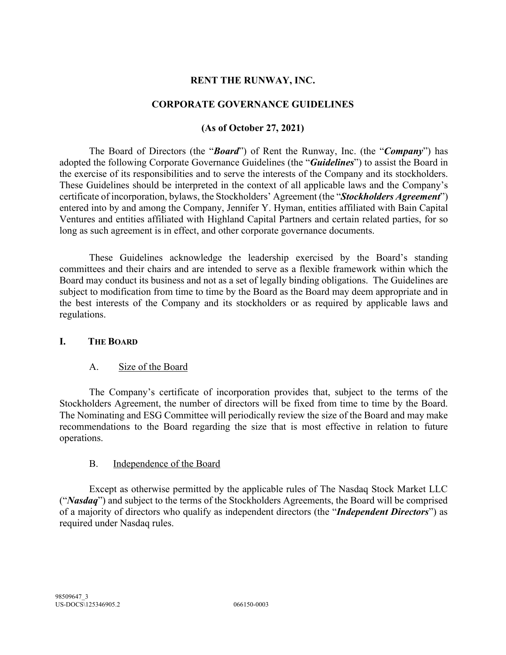#### **RENT THE RUNWAY, INC.**

#### **CORPORATE GOVERNANCE GUIDELINES**

### **(As of October 27, 2021)**

The Board of Directors (the "*Board*") of Rent the Runway, Inc. (the "*Company*") has adopted the following Corporate Governance Guidelines (the "*Guidelines*") to assist the Board in the exercise of its responsibilities and to serve the interests of the Company and its stockholders. These Guidelines should be interpreted in the context of all applicable laws and the Company's certificate of incorporation, bylaws, the Stockholders' Agreement (the "*Stockholders Agreement*") entered into by and among the Company, Jennifer Y. Hyman, entities affiliated with Bain Capital Ventures and entities affiliated with Highland Capital Partners and certain related parties, for so long as such agreement is in effect, and other corporate governance documents.

These Guidelines acknowledge the leadership exercised by the Board's standing committees and their chairs and are intended to serve as a flexible framework within which the Board may conduct its business and not as a set of legally binding obligations. The Guidelines are subject to modification from time to time by the Board as the Board may deem appropriate and in the best interests of the Company and its stockholders or as required by applicable laws and regulations.

#### **I. THE BOARD**

#### A. Size of the Board

The Company's certificate of incorporation provides that, subject to the terms of the Stockholders Agreement, the number of directors will be fixed from time to time by the Board. The Nominating and ESG Committee will periodically review the size of the Board and may make recommendations to the Board regarding the size that is most effective in relation to future operations.

#### B. Independence of the Board

Except as otherwise permitted by the applicable rules of The Nasdaq Stock Market LLC ("*Nasdaq*") and subject to the terms of the Stockholders Agreements, the Board will be comprised of a majority of directors who qualify as independent directors (the "*Independent Directors*") as required under Nasdaq rules.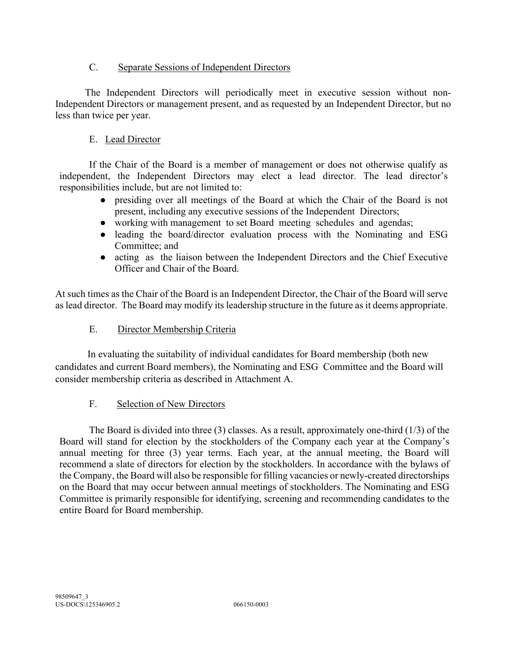## C. Separate Sessions of Independent Directors

The Independent Directors will periodically meet in executive session without non-Independent Directors or management present, and as requested by an Independent Director, but no less than twice per year.

## E. Lead Director

If the Chair of the Board is a member of management or does not otherwise qualify as independent, the Independent Directors may elect a lead director. The lead director's responsibilities include, but are not limited to:

- presiding over all meetings of the Board at which the Chair of the Board is not present, including any executive sessions of the Independent Directors;
- working with management to set Board meeting schedules and agendas;
- leading the board/director evaluation process with the Nominating and ESG Committee; and
- acting as the liaison between the Independent Directors and the Chief Executive Officer and Chair of the Board.

At such times as the Chair of the Board is an Independent Director, the Chair of the Board will serve as lead director. The Board may modify its leadership structure in the future as it deems appropriate.

## E. Director Membership Criteria

In evaluating the suitability of individual candidates for Board membership (both new candidates and current Board members), the Nominating and ESG Committee and the Board will consider membership criteria as described in Attachment A.

### F. Selection of New Directors

The Board is divided into three (3) classes. As a result, approximately one-third (1/3) of the Board will stand for election by the stockholders of the Company each year at the Company's annual meeting for three (3) year terms. Each year, at the annual meeting, the Board will recommend a slate of directors for election by the stockholders. In accordance with the bylaws of the Company, the Board will also be responsible for filling vacancies or newly-created directorships on the Board that may occur between annual meetings of stockholders. The Nominating and ESG Committee is primarily responsible for identifying, screening and recommending candidates to the entire Board for Board membership.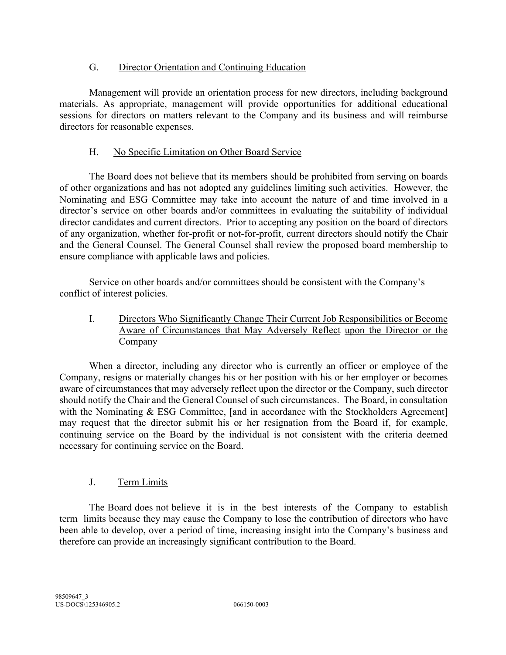## G. Director Orientation and Continuing Education

Management will provide an orientation process for new directors, including background materials. As appropriate, management will provide opportunities for additional educational sessions for directors on matters relevant to the Company and its business and will reimburse directors for reasonable expenses.

## H. No Specific Limitation on Other Board Service

The Board does not believe that its members should be prohibited from serving on boards of other organizations and has not adopted any guidelines limiting such activities. However, the Nominating and ESG Committee may take into account the nature of and time involved in a director's service on other boards and/or committees in evaluating the suitability of individual director candidates and current directors. Prior to accepting any position on the board of directors of any organization, whether for-profit or not-for-profit, current directors should notify the Chair and the General Counsel. The General Counsel shall review the proposed board membership to ensure compliance with applicable laws and policies.

Service on other boards and/or committees should be consistent with the Company's conflict of interest policies.

I. Directors Who Significantly Change Their Current Job Responsibilities or Become Aware of Circumstances that May Adversely Reflect upon the Director or the Company

When a director, including any director who is currently an officer or employee of the Company, resigns or materially changes his or her position with his or her employer or becomes aware of circumstances that may adversely reflect upon the director or the Company, such director should notify the Chair and the General Counsel of such circumstances. The Board, in consultation with the Nominating & ESG Committee, [and in accordance with the Stockholders Agreement] may request that the director submit his or her resignation from the Board if, for example, continuing service on the Board by the individual is not consistent with the criteria deemed necessary for continuing service on the Board.

# J. Term Limits

The Board does not believe it is in the best interests of the Company to establish term limits because they may cause the Company to lose the contribution of directors who have been able to develop, over a period of time, increasing insight into the Company's business and therefore can provide an increasingly significant contribution to the Board.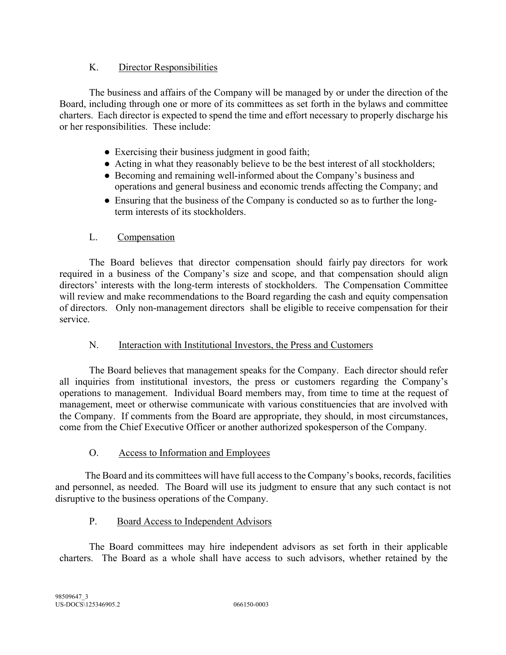## K. Director Responsibilities

The business and affairs of the Company will be managed by or under the direction of the Board, including through one or more of its committees as set forth in the bylaws and committee charters. Each director is expected to spend the time and effort necessary to properly discharge his or her responsibilities. These include:

- Exercising their business judgment in good faith;
- Acting in what they reasonably believe to be the best interest of all stockholders;
- Becoming and remaining well-informed about the Company's business and operations and general business and economic trends affecting the Company; and
- Ensuring that the business of the Company is conducted so as to further the longterm interests of its stockholders.

## L. Compensation

The Board believes that director compensation should fairly pay directors for work required in a business of the Company's size and scope, and that compensation should align directors' interests with the long-term interests of stockholders. The Compensation Committee will review and make recommendations to the Board regarding the cash and equity compensation of directors. Only non-management directors shall be eligible to receive compensation for their service.

### N. Interaction with Institutional Investors, the Press and Customers

The Board believes that management speaks for the Company. Each director should refer all inquiries from institutional investors, the press or customers regarding the Company's operations to management. Individual Board members may, from time to time at the request of management, meet or otherwise communicate with various constituencies that are involved with the Company. If comments from the Board are appropriate, they should, in most circumstances, come from the Chief Executive Officer or another authorized spokesperson of the Company.

### O. Access to Information and Employees

The Board and its committees will have full access to the Company's books, records, facilities and personnel, as needed. The Board will use its judgment to ensure that any such contact is not disruptive to the business operations of the Company.

### P. Board Access to Independent Advisors

The Board committees may hire independent advisors as set forth in their applicable charters. The Board as a whole shall have access to such advisors, whether retained by the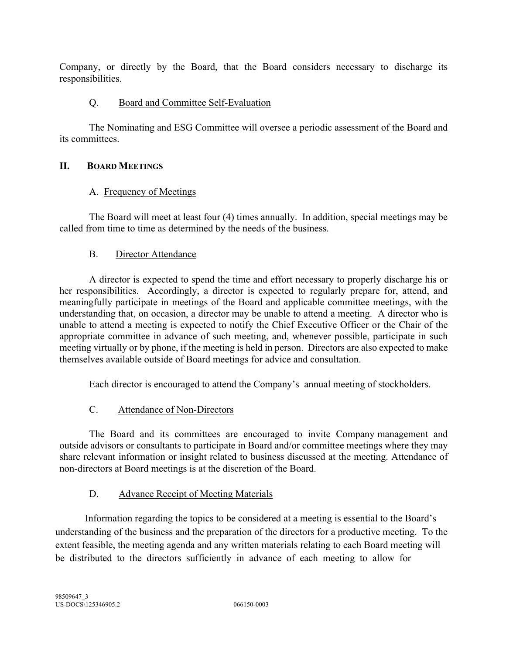Company, or directly by the Board, that the Board considers necessary to discharge its responsibilities.

## Q. Board and Committee Self-Evaluation

The Nominating and ESG Committee will oversee a periodic assessment of the Board and its committees.

## **II. BOARD MEETINGS**

## A. Frequency of Meetings

The Board will meet at least four (4) times annually. In addition, special meetings may be called from time to time as determined by the needs of the business.

## B. Director Attendance

A director is expected to spend the time and effort necessary to properly discharge his or her responsibilities. Accordingly, a director is expected to regularly prepare for, attend, and meaningfully participate in meetings of the Board and applicable committee meetings, with the understanding that, on occasion, a director may be unable to attend a meeting. A director who is unable to attend a meeting is expected to notify the Chief Executive Officer or the Chair of the appropriate committee in advance of such meeting, and, whenever possible, participate in such meeting virtually or by phone, if the meeting is held in person. Directors are also expected to make themselves available outside of Board meetings for advice and consultation.

Each director is encouraged to attend the Company's annual meeting of stockholders.

## C. Attendance of Non-Directors

The Board and its committees are encouraged to invite Company management and outside advisors or consultants to participate in Board and/or committee meetings where they may share relevant information or insight related to business discussed at the meeting. Attendance of non-directors at Board meetings is at the discretion of the Board.

### D. Advance Receipt of Meeting Materials

Information regarding the topics to be considered at a meeting is essential to the Board's understanding of the business and the preparation of the directors for a productive meeting. To the extent feasible, the meeting agenda and any written materials relating to each Board meeting will be distributed to the directors sufficiently in advance of each meeting to allow for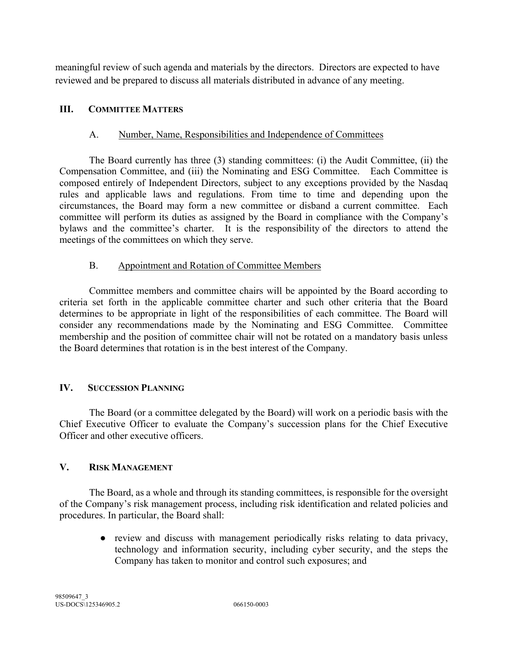meaningful review of such agenda and materials by the directors. Directors are expected to have reviewed and be prepared to discuss all materials distributed in advance of any meeting.

#### **III. COMMITTEE MATTERS**

#### A. Number, Name, Responsibilities and Independence of Committees

The Board currently has three (3) standing committees: (i) the Audit Committee, (ii) the Compensation Committee, and (iii) the Nominating and ESG Committee. Each Committee is composed entirely of Independent Directors, subject to any exceptions provided by the Nasdaq rules and applicable laws and regulations. From time to time and depending upon the circumstances, the Board may form a new committee or disband a current committee. Each committee will perform its duties as assigned by the Board in compliance with the Company's bylaws and the committee's charter. It is the responsibility of the directors to attend the meetings of the committees on which they serve.

#### B. Appointment and Rotation of Committee Members

Committee members and committee chairs will be appointed by the Board according to criteria set forth in the applicable committee charter and such other criteria that the Board determines to be appropriate in light of the responsibilities of each committee. The Board will consider any recommendations made by the Nominating and ESG Committee. Committee membership and the position of committee chair will not be rotated on a mandatory basis unless the Board determines that rotation is in the best interest of the Company.

#### **IV. SUCCESSION PLANNING**

The Board (or a committee delegated by the Board) will work on a periodic basis with the Chief Executive Officer to evaluate the Company's succession plans for the Chief Executive Officer and other executive officers.

#### **V. RISK MANAGEMENT**

The Board, as a whole and through its standing committees, is responsible for the oversight of the Company's risk management process, including risk identification and related policies and procedures. In particular, the Board shall:

> ● review and discuss with management periodically risks relating to data privacy, technology and information security, including cyber security, and the steps the Company has taken to monitor and control such exposures; and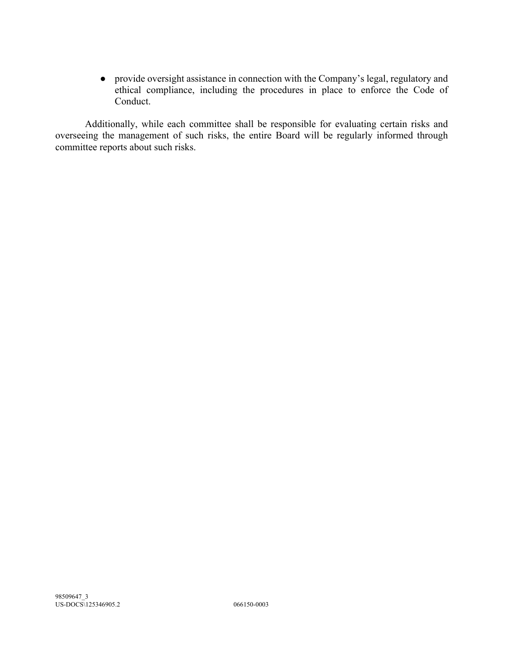● provide oversight assistance in connection with the Company's legal, regulatory and ethical compliance, including the procedures in place to enforce the Code of Conduct.

Additionally, while each committee shall be responsible for evaluating certain risks and overseeing the management of such risks, the entire Board will be regularly informed through committee reports about such risks.